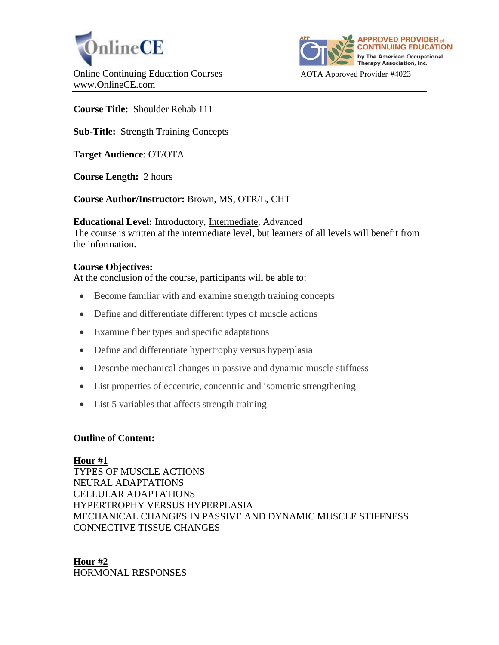



# **Course Title:** Shoulder Rehab 111

**Sub-Title:** Strength Training Concepts

**Target Audience**: OT/OTA

**Course Length:** 2 hours

**Course Author/Instructor:** Brown, MS, OTR/L, CHT

**Educational Level:** Introductory, Intermediate, Advanced The course is written at the intermediate level, but learners of all levels will benefit from the information.

## **Course Objectives:**

At the conclusion of the course, participants will be able to:

- Become familiar with and examine strength training concepts
- Define and differentiate different types of muscle actions
- Examine fiber types and specific adaptations
- Define and differentiate hypertrophy versus hyperplasia
- Describe mechanical changes in passive and dynamic muscle stiffness
- List properties of eccentric, concentric and isometric strengthening
- List 5 variables that affects strength training

## **Outline of Content:**

#### **Hour #1**

TYPES OF MUSCLE ACTIONS NEURAL ADAPTATIONS CELLULAR ADAPTATIONS HYPERTROPHY VERSUS HYPERPLASIA MECHANICAL CHANGES IN PASSIVE AND DYNAMIC MUSCLE STIFFNESS CONNECTIVE TISSUE CHANGES

**Hour #2** HORMONAL RESPONSES